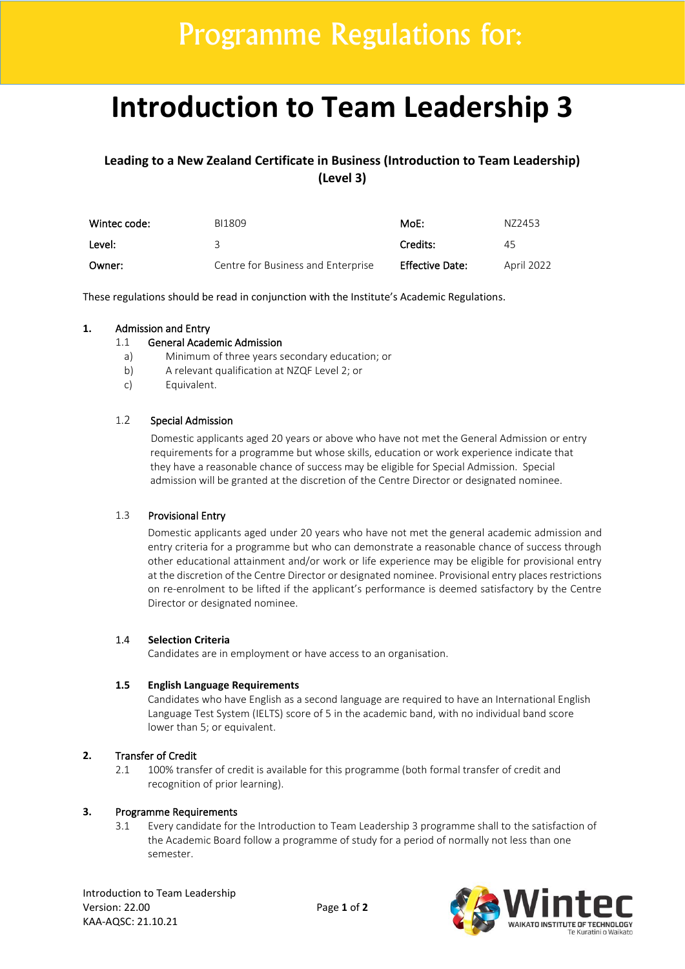# **Introduction to Team Leadership 3**

**Leading to a New Zealand Certificate in Business (Introduction to Team Leadership) (Level 3)** 

| Wintec code: | BI1809                             | MoE:                   | N72453     |
|--------------|------------------------------------|------------------------|------------|
| Level:       |                                    | Credits:               | 45         |
| Owner:       | Centre for Business and Enterprise | <b>Effective Date:</b> | April 2022 |

These regulations should be read in conjunction with the Institute's Academic Regulations.

#### **1.** Admission and Entry

#### 1.1 General Academic Admission

- a) Minimum of three years secondary education; or
- b) A relevant qualification at NZQF Level 2; or
- c) Equivalent.

## 1.2 Special Admission

Domestic applicants aged 20 years or above who have not met the General Admission or entry requirements for a programme but whose skills, education or work experience indicate that they have a reasonable chance of success may be eligible for Special Admission. Special admission will be granted at the discretion of the Centre Director or designated nominee.

## 1.3 Provisional Entry

Domestic applicants aged under 20 years who have not met the general academic admission and entry criteria for a programme but who can demonstrate a reasonable chance of success through other educational attainment and/or work or life experience may be eligible for provisional entry at the discretion of the Centre Director or designated nominee. Provisional entry places restrictions on re-enrolment to be lifted if the applicant's performance is deemed satisfactory by the Centre Director or designated nominee.

#### 1.4 **Selection Criteria**

Candidates are in employment or have access to an organisation.

#### **1.5 English Language Requirements**

Candidates who have English as a second language are required to have an International English Language Test System (IELTS) score of 5 in the academic band, with no individual band score lower than 5; or equivalent.

## **2.** Transfer of Credit

2.1 100% transfer of credit is available for this programme (both formal transfer of credit and recognition of prior learning).

### **3.** Programme Requirements

3.1 Every candidate for the Introduction to Team Leadership 3 programme shall to the satisfaction of the Academic Board follow a programme of study for a period of normally not less than one semester.

Introduction to Team Leadership Version: 22.00 Page **1** of **2** KAA-AQSC: 21.10.21